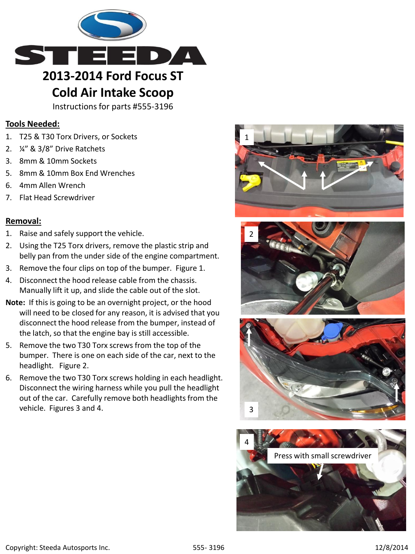

## **Cold Air Intake Scoop**

Instructions for parts #555-3196

## **Tools Needed:**

- 1. T25 & T30 Torx Drivers, or Sockets
- 2. ¼" & 3/8" Drive Ratchets
- 3. 8mm & 10mm Sockets
- 5. 8mm & 10mm Box End Wrenches
- 6. 4mm Allen Wrench
- 7. Flat Head Screwdriver

## **Removal:**

- 1. Raise and safely support the vehicle.
- 2. Using the T25 Torx drivers, remove the plastic strip and belly pan from the under side of the engine compartment.
- 3. Remove the four clips on top of the bumper. Figure 1.
- 4. Disconnect the hood release cable from the chassis. Manually lift it up, and slide the cable out of the slot.
- **Note:** If this is going to be an overnight project, or the hood will need to be closed for any reason, it is advised that you disconnect the hood release from the bumper, instead of the latch, so that the engine bay is still accessible.
- 5. Remove the two T30 Torx screws from the top of the bumper. There is one on each side of the car, next to the headlight. Figure 2.
- 6. Remove the two T30 Torx screws holding in each headlight. Disconnect the wiring harness while you pull the headlight out of the car. Carefully remove both headlights from the vehicle. Figures 3 and 4.







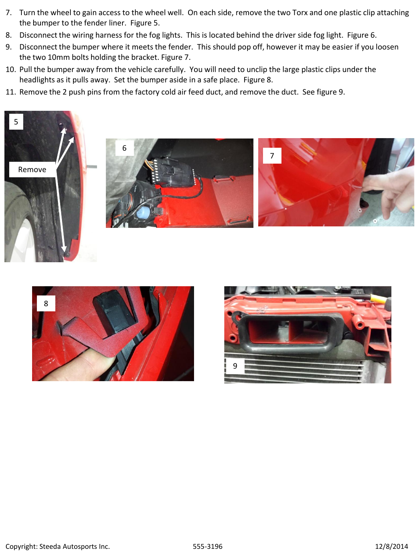- 7. Turn the wheel to gain access to the wheel well. On each side, remove the two Torx and one plastic clip attaching the bumper to the fender liner. Figure 5.
- 8. Disconnect the wiring harness for the fog lights. This is located behind the driver side fog light. Figure 6.
- 9. Disconnect the bumper where it meets the fender. This should pop off, however it may be easier if you loosen the two 10mm bolts holding the bracket. Figure 7.
- 10. Pull the bumper away from the vehicle carefully. You will need to unclip the large plastic clips under the headlights as it pulls away. Set the bumper aside in a safe place. Figure 8.
- 11. Remove the 2 push pins from the factory cold air feed duct, and remove the duct. See figure 9.